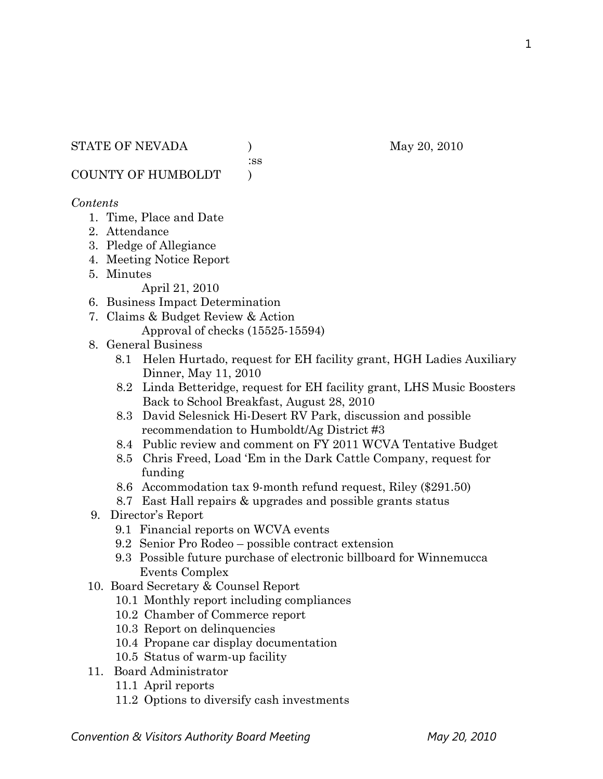### STATE OF NEVADA (a) (b) May 20, 2010

:ss

COUNTY OF HUMBOLDT )

# *Contents*

- 1. Time, Place and Date
- 2. Attendance
- 3. Pledge of Allegiance
- 4. Meeting Notice Report
- 5. Minutes

April 21, 2010

- 6. Business Impact Determination
- 7. Claims & Budget Review & Action Approval of checks (15525-15594)
- 8. General Business
	- 8.1 Helen Hurtado, request for EH facility grant, HGH Ladies Auxiliary Dinner, May 11, 2010
	- 8.2 Linda Betteridge, request for EH facility grant, LHS Music Boosters Back to School Breakfast, August 28, 2010
	- 8.3 David Selesnick Hi-Desert RV Park, discussion and possible recommendation to Humboldt/Ag District #3
	- 8.4 Public review and comment on FY 2011 WCVA Tentative Budget
	- 8.5 Chris Freed, Load 'Em in the Dark Cattle Company, request for funding
	- 8.6 Accommodation tax 9-month refund request, Riley (\$291.50)
	- 8.7 East Hall repairs & upgrades and possible grants status
- 9. Director's Report
	- 9.1 Financial reports on WCVA events
	- 9.2 Senior Pro Rodeo possible contract extension
	- 9.3 Possible future purchase of electronic billboard for Winnemucca Events Complex
- 10. Board Secretary & Counsel Report
	- 10.1 Monthly report including compliances
	- 10.2 Chamber of Commerce report
	- 10.3 Report on delinquencies
	- 10.4 Propane car display documentation
	- 10.5 Status of warm-up facility
- 11. Board Administrator
	- 11.1 April reports
	- 11.2 Options to diversify cash investments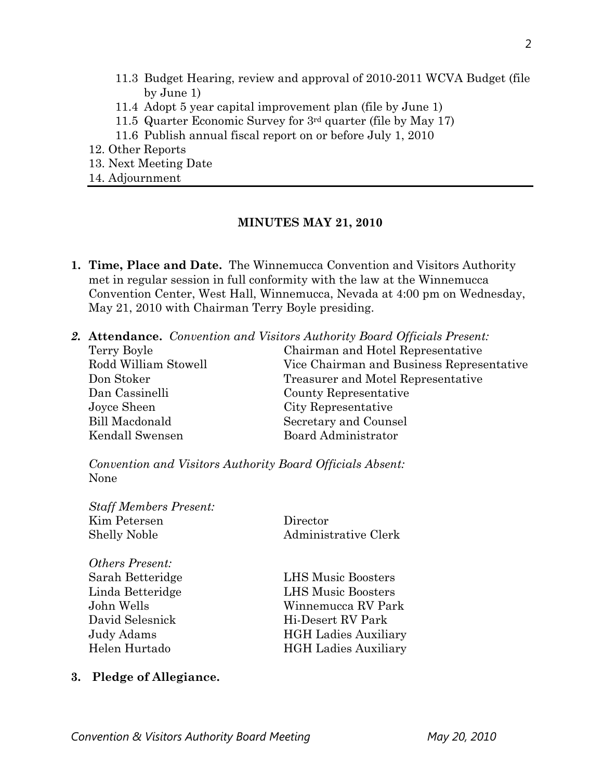- 11.3 Budget Hearing, review and approval of 2010-2011 WCVA Budget (file by June 1)
- 11.4 Adopt 5 year capital improvement plan (file by June 1)
- 11.5 Quarter Economic Survey for 3rd quarter (file by May 17)
- 11.6 Publish annual fiscal report on or before July 1, 2010
- 12. Other Reports
- 13. Next Meeting Date
- 14. Adjournment

# **MINUTES MAY 21, 2010**

- **1. Time, Place and Date.** The Winnemucca Convention and Visitors Authority met in regular session in full conformity with the law at the Winnemucca Convention Center, West Hall, Winnemucca, Nevada at 4:00 pm on Wednesday, May 21, 2010 with Chairman Terry Boyle presiding.
- *2.* **Attendance.** *Convention and Visitors Authority Board Officials Present:*

| Chairman and Hotel Representative         |
|-------------------------------------------|
| Vice Chairman and Business Representative |
| Treasurer and Motel Representative        |
| County Representative                     |
| City Representative                       |
| Secretary and Counsel                     |
| Board Administrator                       |
|                                           |

*Convention and Visitors Authority Board Officials Absent:*  None

| <b>Staff Members Present:</b><br>Kim Petersen<br>Shelly Noble | Director<br>Administrative Clerk |
|---------------------------------------------------------------|----------------------------------|
| Others Present:                                               |                                  |
| Sarah Betteridge                                              | <b>LHS Music Boosters</b>        |
| Linda Betteridge                                              | <b>LHS Music Boosters</b>        |
| John Wells                                                    | Winnemucca RV Park               |
| David Selesnick                                               | Hi-Desert RV Park                |
| Judy Adams                                                    | <b>HGH</b> Ladies Auxiliary      |
| Helen Hurtado                                                 | <b>HGH</b> Ladies Auxiliary      |
|                                                               |                                  |

# **3. Pledge of Allegiance.**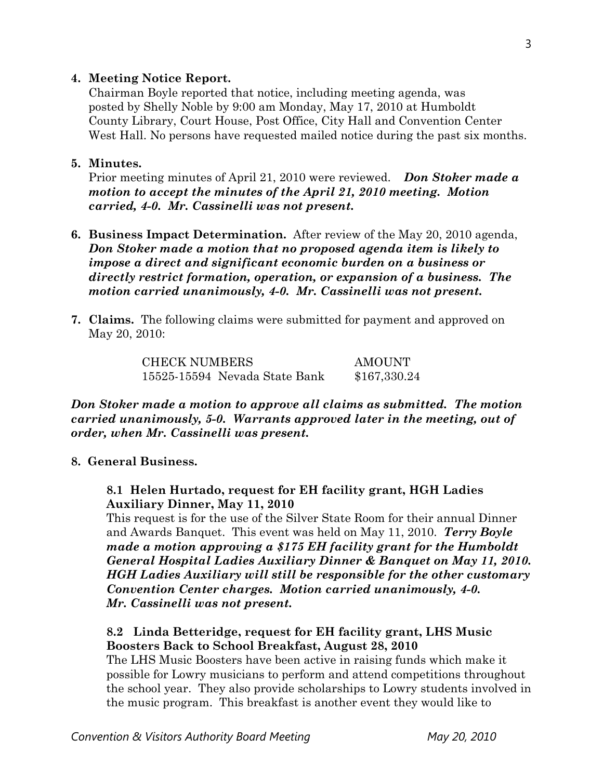### **4. Meeting Notice Report.**

Chairman Boyle reported that notice, including meeting agenda, was posted by Shelly Noble by 9:00 am Monday, May 17, 2010 at Humboldt County Library, Court House, Post Office, City Hall and Convention Center West Hall. No persons have requested mailed notice during the past six months.

#### **5. Minutes.**

Prior meeting minutes of April 21, 2010 were reviewed. *Don Stoker made a motion to accept the minutes of the April 21, 2010 meeting. Motion carried, 4-0. Mr. Cassinelli was not present.* 

- **6. Business Impact Determination.** After review of the May 20, 2010 agenda, *Don Stoker made a motion that no proposed agenda item is likely to impose a direct and significant economic burden on a business or directly restrict formation, operation, or expansion of a business. The motion carried unanimously, 4-0. Mr. Cassinelli was not present.*
- **7. Claims.** The following claims were submitted for payment and approved on May 20, 2010:

CHECK NUMBERS AMOUNT 15525-15594 Nevada State Bank \$167,330.24

*Don Stoker made a motion to approve all claims as submitted. The motion carried unanimously, 5-0. Warrants approved later in the meeting, out of order, when Mr. Cassinelli was present.*

### **8. General Business.**

### **8.1 Helen Hurtado, request for EH facility grant, HGH Ladies Auxiliary Dinner, May 11, 2010**

This request is for the use of the Silver State Room for their annual Dinner and Awards Banquet. This event was held on May 11, 2010. *Terry Boyle made a motion approving a \$175 EH facility grant for the Humboldt General Hospital Ladies Auxiliary Dinner & Banquet on May 11, 2010. HGH Ladies Auxiliary will still be responsible for the other customary Convention Center charges. Motion carried unanimously, 4-0. Mr. Cassinelli was not present.*

### **8.2 Linda Betteridge, request for EH facility grant, LHS Music Boosters Back to School Breakfast, August 28, 2010**

The LHS Music Boosters have been active in raising funds which make it possible for Lowry musicians to perform and attend competitions throughout the school year. They also provide scholarships to Lowry students involved in the music program. This breakfast is another event they would like to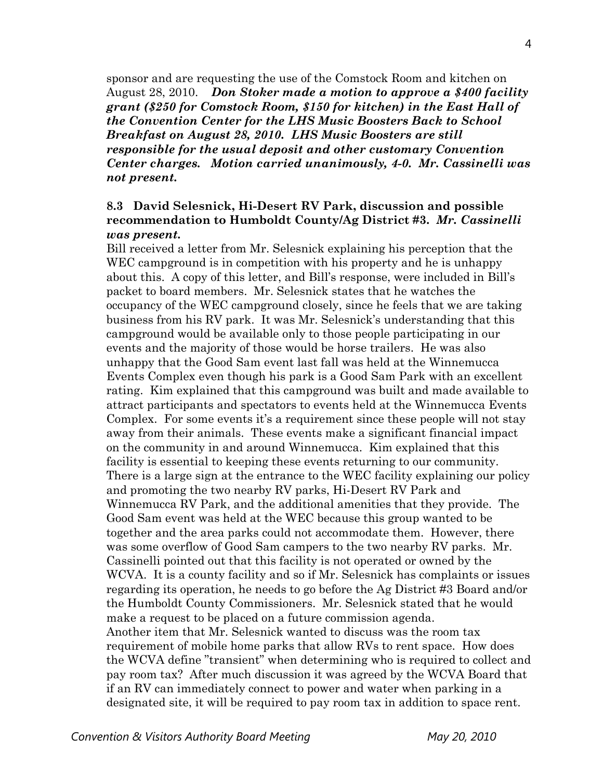sponsor and are requesting the use of the Comstock Room and kitchen on August 28, 2010. *Don Stoker made a motion to approve a \$400 facility grant (\$250 for Comstock Room, \$150 for kitchen) in the East Hall of the Convention Center for the LHS Music Boosters Back to School Breakfast on August 28, 2010. LHS Music Boosters are still responsible for the usual deposit and other customary Convention Center charges. Motion carried unanimously, 4-0. Mr. Cassinelli was not present.* 

# **8.3 David Selesnick, Hi-Desert RV Park, discussion and possible recommendation to Humboldt County/Ag District #3.** *Mr. Cassinelli was present.*

Bill received a letter from Mr. Selesnick explaining his perception that the WEC campground is in competition with his property and he is unhappy about this. A copy of this letter, and Bill's response, were included in Bill's packet to board members. Mr. Selesnick states that he watches the occupancy of the WEC campground closely, since he feels that we are taking business from his RV park. It was Mr. Selesnick's understanding that this campground would be available only to those people participating in our events and the majority of those would be horse trailers. He was also unhappy that the Good Sam event last fall was held at the Winnemucca Events Complex even though his park is a Good Sam Park with an excellent rating. Kim explained that this campground was built and made available to attract participants and spectators to events held at the Winnemucca Events Complex. For some events it's a requirement since these people will not stay away from their animals. These events make a significant financial impact on the community in and around Winnemucca. Kim explained that this facility is essential to keeping these events returning to our community. There is a large sign at the entrance to the WEC facility explaining our policy and promoting the two nearby RV parks, Hi-Desert RV Park and Winnemucca RV Park, and the additional amenities that they provide. The Good Sam event was held at the WEC because this group wanted to be together and the area parks could not accommodate them. However, there was some overflow of Good Sam campers to the two nearby RV parks. Mr. Cassinelli pointed out that this facility is not operated or owned by the WCVA. It is a county facility and so if Mr. Selesnick has complaints or issues regarding its operation, he needs to go before the Ag District #3 Board and/or the Humboldt County Commissioners. Mr. Selesnick stated that he would make a request to be placed on a future commission agenda. Another item that Mr. Selesnick wanted to discuss was the room tax requirement of mobile home parks that allow RVs to rent space. How does the WCVA define "transient" when determining who is required to collect and pay room tax? After much discussion it was agreed by the WCVA Board that if an RV can immediately connect to power and water when parking in a designated site, it will be required to pay room tax in addition to space rent.

**Convention & Visitors Authority Board Meeting May 20, 2010** May 20, 2010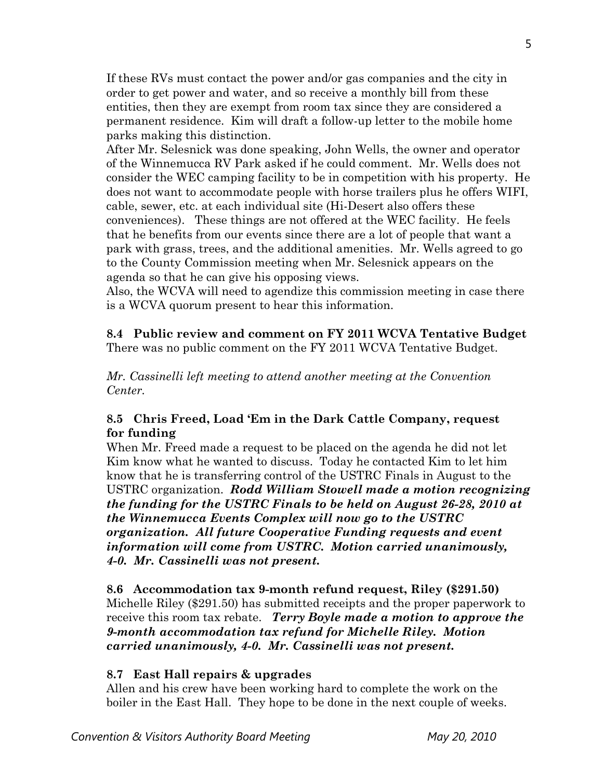If these RVs must contact the power and/or gas companies and the city in order to get power and water, and so receive a monthly bill from these entities, then they are exempt from room tax since they are considered a permanent residence. Kim will draft a follow-up letter to the mobile home parks making this distinction.

After Mr. Selesnick was done speaking, John Wells, the owner and operator of the Winnemucca RV Park asked if he could comment. Mr. Wells does not consider the WEC camping facility to be in competition with his property. He does not want to accommodate people with horse trailers plus he offers WIFI, cable, sewer, etc. at each individual site (Hi-Desert also offers these conveniences). These things are not offered at the WEC facility. He feels that he benefits from our events since there are a lot of people that want a park with grass, trees, and the additional amenities. Mr. Wells agreed to go to the County Commission meeting when Mr. Selesnick appears on the agenda so that he can give his opposing views.

Also, the WCVA will need to agendize this commission meeting in case there is a WCVA quorum present to hear this information.

**8.4 Public review and comment on FY 2011 WCVA Tentative Budget**  There was no public comment on the FY 2011 WCVA Tentative Budget.

*Mr. Cassinelli left meeting to attend another meeting at the Convention Center.* 

# **8.5 Chris Freed, Load 'Em in the Dark Cattle Company, request for funding**

When Mr. Freed made a request to be placed on the agenda he did not let Kim know what he wanted to discuss. Today he contacted Kim to let him know that he is transferring control of the USTRC Finals in August to the USTRC organization. *Rodd William Stowell made a motion recognizing the funding for the USTRC Finals to be held on August 26-28, 2010 at the Winnemucca Events Complex will now go to the USTRC organization. All future Cooperative Funding requests and event information will come from USTRC. Motion carried unanimously, 4-0. Mr. Cassinelli was not present.* 

**8.6 Accommodation tax 9-month refund request, Riley (\$291.50)**  Michelle Riley (\$291.50) has submitted receipts and the proper paperwork to receive this room tax rebate. *Terry Boyle made a motion to approve the 9-month accommodation tax refund for Michelle Riley. Motion carried unanimously, 4-0. Mr. Cassinelli was not present.* 

# **8.7 East Hall repairs & upgrades**

Allen and his crew have been working hard to complete the work on the boiler in the East Hall. They hope to be done in the next couple of weeks.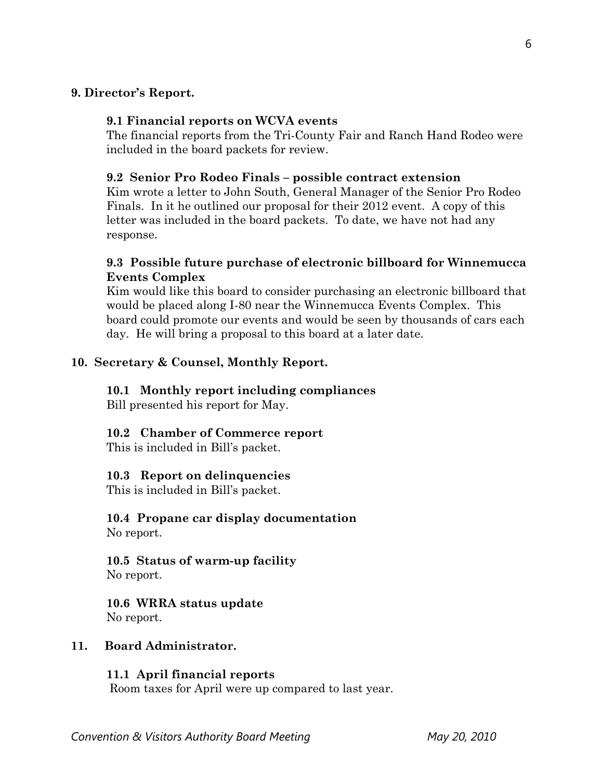### **9. Director's Report.**

### **9.1 Financial reports on WCVA events**

The financial reports from the Tri-County Fair and Ranch Hand Rodeo were included in the board packets for review.

#### **9.2 Senior Pro Rodeo Finals – possible contract extension**

Kim wrote a letter to John South, General Manager of the Senior Pro Rodeo Finals. In it he outlined our proposal for their 2012 event. A copy of this letter was included in the board packets. To date, we have not had any response.

# **9.3 Possible future purchase of electronic billboard for Winnemucca Events Complex**

Kim would like this board to consider purchasing an electronic billboard that would be placed along I-80 near the Winnemucca Events Complex. This board could promote our events and would be seen by thousands of cars each day. He will bring a proposal to this board at a later date.

# **10. Secretary & Counsel, Monthly Report.**

#### **10.1 Monthly report including compliances**

Bill presented his report for May.

# **10.2 Chamber of Commerce report**

This is included in Bill's packet.

#### **10.3 Report on delinquencies**

This is included in Bill's packet.

#### **10.4 Propane car display documentation** No report.

**10.5 Status of warm-up facility**  No report.

**10.6 WRRA status update**  No report.

#### **11. Board Administrator.**

# **11.1 April financial reports**

Room taxes for April were up compared to last year.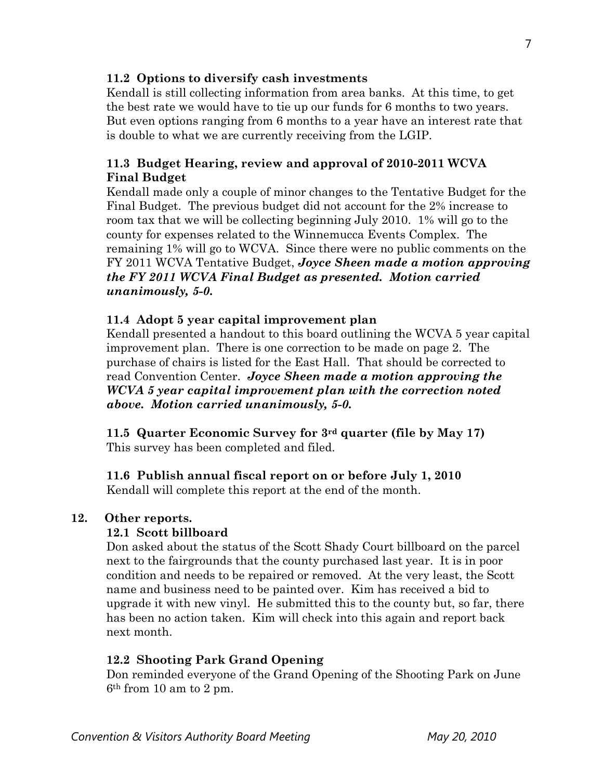# **11.2 Options to diversify cash investments**

Kendall is still collecting information from area banks. At this time, to get the best rate we would have to tie up our funds for 6 months to two years. But even options ranging from 6 months to a year have an interest rate that is double to what we are currently receiving from the LGIP.

# **11.3 Budget Hearing, review and approval of 2010-2011 WCVA Final Budget**

Kendall made only a couple of minor changes to the Tentative Budget for the Final Budget. The previous budget did not account for the 2% increase to room tax that we will be collecting beginning July 2010. 1% will go to the county for expenses related to the Winnemucca Events Complex. The remaining 1% will go to WCVA. Since there were no public comments on the FY 2011 WCVA Tentative Budget, *Joyce Sheen made a motion approving the FY 2011 WCVA Final Budget as presented. Motion carried unanimously, 5-0.* 

# **11.4 Adopt 5 year capital improvement plan**

Kendall presented a handout to this board outlining the WCVA 5 year capital improvement plan. There is one correction to be made on page 2. The purchase of chairs is listed for the East Hall. That should be corrected to read Convention Center. *Joyce Sheen made a motion approving the WCVA 5 year capital improvement plan with the correction noted above. Motion carried unanimously, 5-0.* 

**11.5 Quarter Economic Survey for 3rd quarter (file by May 17)**  This survey has been completed and filed.

# **11.6 Publish annual fiscal report on or before July 1, 2010**

Kendall will complete this report at the end of the month.

# **12. Other reports.**

# **12.1 Scott billboard**

Don asked about the status of the Scott Shady Court billboard on the parcel next to the fairgrounds that the county purchased last year. It is in poor condition and needs to be repaired or removed. At the very least, the Scott name and business need to be painted over. Kim has received a bid to upgrade it with new vinyl. He submitted this to the county but, so far, there has been no action taken. Kim will check into this again and report back next month.

# **12.2 Shooting Park Grand Opening**

Don reminded everyone of the Grand Opening of the Shooting Park on June 6th from 10 am to 2 pm.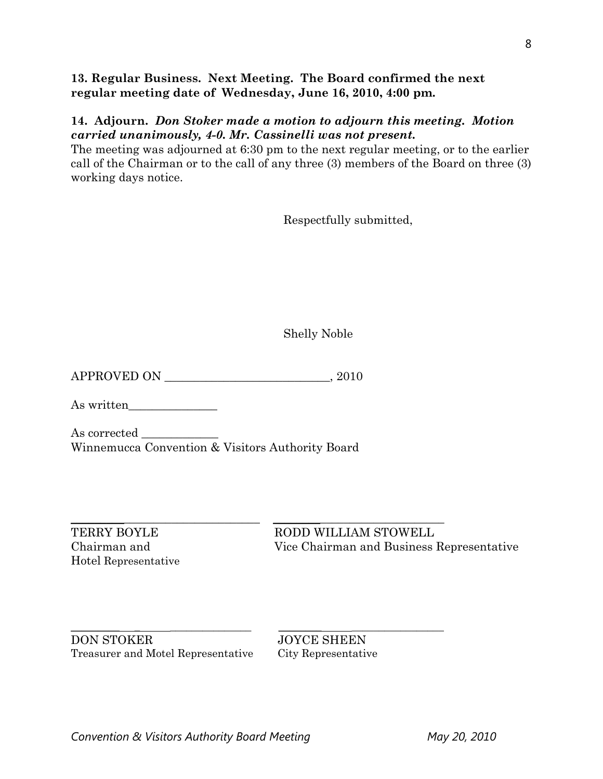# **13. Regular Business. Next Meeting. The Board confirmed the next regular meeting date of Wednesday, June 16, 2010, 4:00 pm.**

# **14. Adjourn.** *Don Stoker made a motion to adjourn this meeting. Motion carried unanimously, 4-0. Mr. Cassinelli was not present.*

The meeting was adjourned at 6:30 pm to the next regular meeting, or to the earlier call of the Chairman or to the call of any three (3) members of the Board on three (3) working days notice.

Respectfully submitted,

Shelly Noble

APPROVED ON \_\_\_\_\_\_\_\_\_\_\_\_\_\_\_\_\_\_\_\_\_\_\_\_\_\_\_\_, 2010

As written\_\_\_\_\_\_\_\_\_\_\_\_\_\_\_

As corrected  $\qquad \qquad \qquad$ Winnemucca Convention & Visitors Authority Board

Hotel Representative

\_\_\_\_\_\_\_\_\_\_\_\_\_\_\_\_\_\_\_\_\_\_\_\_\_\_\_\_\_\_\_\_ \_\_\_\_\_\_\_\_\_\_\_\_\_\_\_\_\_\_\_\_\_\_\_\_\_\_\_\_\_ TERRY BOYLE RODD WILLIAM STOWELL Chairman and Vice Chairman and Business Representative

\_\_\_\_\_\_\_\_\_ \_ \_\_\_\_\_\_\_\_\_\_\_\_\_\_\_ \_\_\_\_\_\_\_\_ \_\_\_\_\_\_\_\_\_\_\_\_\_\_\_\_\_ DON STOKER JOYCE SHEEN Treasurer and Motel Representative City Representative